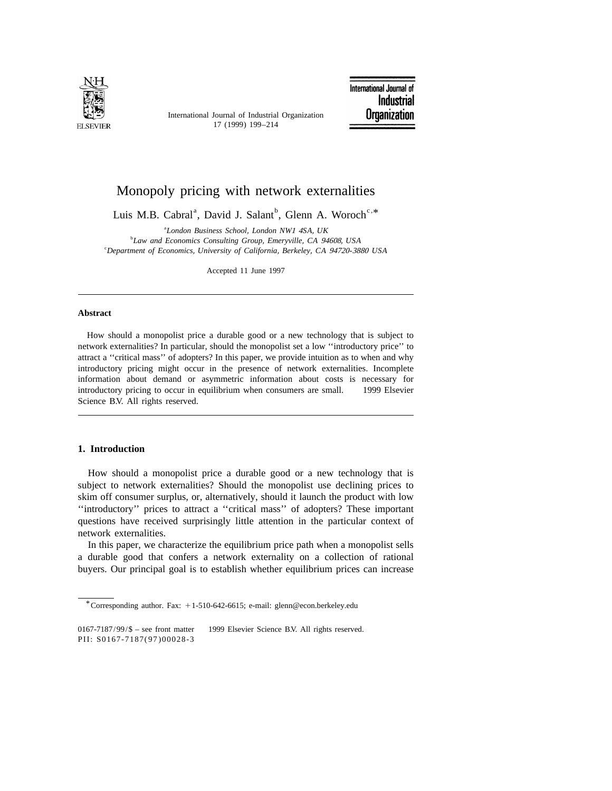

International Journal of Industrial Organization 17 (1999) 199–214

# Monopoly pricing with network externalities

Luis M.B. Cabral<sup>a</sup>, David J. Salant<sup>b</sup>, Glenn A. Woroch<sup>c,\*</sup>

a *London Business School*, *London NW*<sup>1</sup> <sup>4</sup>*SA*, *UK* b *Law and Economics Consulting Group*, *Emeryville*, *CA* 94608, *USA* c *Department of Economics*, *University of California*, *Berkeley*, *CA* <sup>94720</sup>-<sup>3880</sup> *USA*

Accepted 11 June 1997

#### **Abstract**

How should a monopolist price a durable good or a new technology that is subject to network externalities? In particular, should the monopolist set a low ''introductory price'' to attract a ''critical mass'' of adopters? In this paper, we provide intuition as to when and why introductory pricing might occur in the presence of network externalities. Incomplete information about demand or asymmetric information about costs is necessary for introductory pricing to occur in equilibrium when consumers are small.  $\circ$  1999 Elsevier Science B.V. All rights reserved.

# **1. Introduction**

How should a monopolist price a durable good or a new technology that is subject to network externalities? Should the monopolist use declining prices to skim off consumer surplus, or, alternatively, should it launch the product with low ''introductory'' prices to attract a ''critical mass'' of adopters? These important questions have received surprisingly little attention in the particular context of network externalities.

In this paper, we characterize the equilibrium price path when a monopolist sells a durable good that confers a network externality on a collection of rational buyers. Our principal goal is to establish whether equilibrium prices can increase

<sup>\*</sup> Corresponding author. Fax:  $+1-510-642-6615$ ; e-mail: glenn@econ.berkeley.edu

 $0167-7187/99$ /\$ – see front matter  $\odot$  1999 Elsevier Science B.V. All rights reserved. PII: S0167-7187(97)00028-3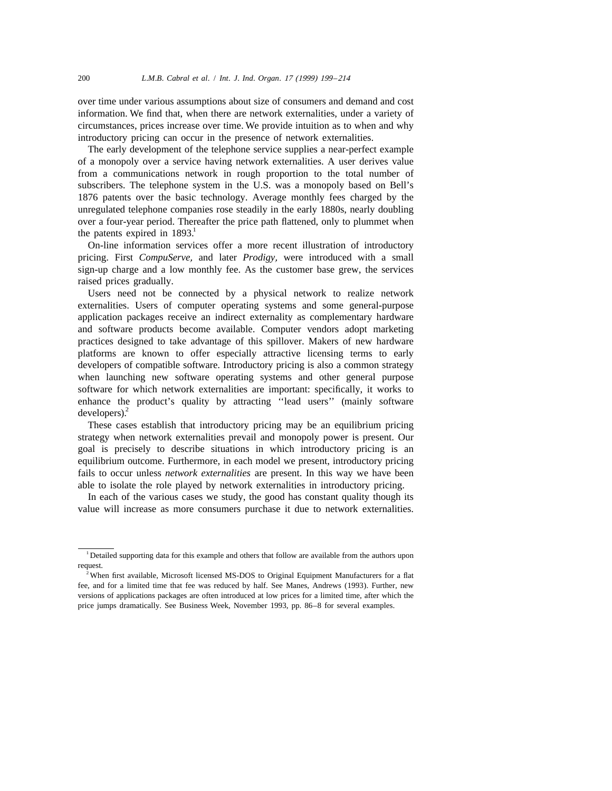over time under various assumptions about size of consumers and demand and cost information. We find that, when there are network externalities, under a variety of circumstances, prices increase over time. We provide intuition as to when and why introductory pricing can occur in the presence of network externalities.

The early development of the telephone service supplies a near-perfect example of a monopoly over a service having network externalities. A user derives value from a communications network in rough proportion to the total number of subscribers. The telephone system in the U.S. was a monopoly based on Bell's 1876 patents over the basic technology. Average monthly fees charged by the unregulated telephone companies rose steadily in the early 1880s, nearly doubling over a four-year period. Thereafter the price path flattened, only to plummet when the patents expired in  $1893<sup>1</sup>$ .

On-line information services offer a more recent illustration of introductory pricing. First *CompuServe*, and later *Prodigy*, were introduced with a small sign-up charge and a low monthly fee. As the customer base grew, the services raised prices gradually.

Users need not be connected by a physical network to realize network externalities. Users of computer operating systems and some general-purpose application packages receive an indirect externality as complementary hardware and software products become available. Computer vendors adopt marketing practices designed to take advantage of this spillover. Makers of new hardware platforms are known to offer especially attractive licensing terms to early developers of compatible software. Introductory pricing is also a common strategy when launching new software operating systems and other general purpose software for which network externalities are important: specifically, it works to enhance the product's quality by attracting "lead users" (mainly software developers).<sup>2</sup>

These cases establish that introductory pricing may be an equilibrium pricing strategy when network externalities prevail and monopoly power is present. Our goal is precisely to describe situations in which introductory pricing is an equilibrium outcome. Furthermore, in each model we present, introductory pricing fails to occur unless *network externalities* are present. In this way we have been able to isolate the role played by network externalities in introductory pricing.

In each of the various cases we study, the good has constant quality though its value will increase as more consumers purchase it due to network externalities.

<sup>&</sup>lt;sup>1</sup> Detailed supporting data for this example and others that follow are available from the authors upon request.

<sup>&</sup>lt;sup>2</sup> When first available, Microsoft licensed MS-DOS to Original Equipment Manufacturers for a flat fee, and for a limited time that fee was reduced by half. See Manes, Andrews (1993). Further, new versions of applications packages are often introduced at low prices for a limited time, after which the price jumps dramatically. See Business Week, November 1993, pp. 86–8 for several examples.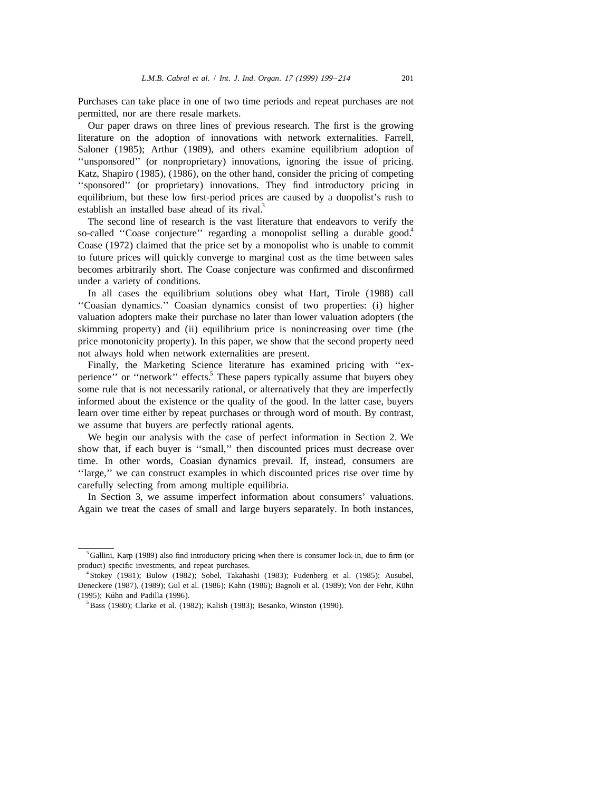Purchases can take place in one of two time periods and repeat purchases are not permitted, nor are there resale markets.

Our paper draws on three lines of previous research. The first is the growing literature on the adoption of innovations with network externalities. Farrell, Saloner (1985); Arthur (1989), and others examine equilibrium adoption of ''unsponsored'' (or nonproprietary) innovations, ignoring the issue of pricing. Katz, Shapiro (1985), (1986), on the other hand, consider the pricing of competing ''sponsored'' (or proprietary) innovations. They find introductory pricing in equilibrium, but these low first-period prices are caused by a duopolist's rush to establish an installed base ahead of its rival.<sup>3</sup>

The second line of research is the vast literature that endeavors to verify the so-called "Coase conjecture" regarding a monopolist selling a durable good.<sup>4</sup> Coase (1972) claimed that the price set by a monopolist who is unable to commit to future prices will quickly converge to marginal cost as the time between sales becomes arbitrarily short. The Coase conjecture was confirmed and disconfirmed under a variety of conditions.

In all cases the equilibrium solutions obey what Hart, Tirole (1988) call ''Coasian dynamics.'' Coasian dynamics consist of two properties: (i) higher valuation adopters make their purchase no later than lower valuation adopters (the skimming property) and (ii) equilibrium price is nonincreasing over time (the price monotonicity property). In this paper, we show that the second property need not always hold when network externalities are present.

Finally, the Marketing Science literature has examined pricing with "experience" or "network" effects. These papers typically assume that buyers obey some rule that is not necessarily rational, or alternatively that they are imperfectly informed about the existence or the quality of the good. In the latter case, buyers learn over time either by repeat purchases or through word of mouth. By contrast, we assume that buyers are perfectly rational agents.

We begin our analysis with the case of perfect information in Section 2. We show that, if each buyer is ''small,'' then discounted prices must decrease over time. In other words, Coasian dynamics prevail. If, instead, consumers are ''large,'' we can construct examples in which discounted prices rise over time by carefully selecting from among multiple equilibria.

In Section 3, we assume imperfect information about consumers' valuations. Again we treat the cases of small and large buyers separately. In both instances,

<sup>&</sup>lt;sup>3</sup> Gallini, Karp (1989) also find introductory pricing when there is consumer lock-in, due to firm (or product) specific investments, and repeat purchases.

<sup>4</sup> Stokey (1981); Bulow (1982); Sobel, Takahashi (1983); Fudenberg et al. (1985); Ausubel, Deneckere (1987), (1989); Gul et al. (1986); Kahn (1986); Bagnoli et al. (1989); Von der Fehr, Kuhn ¨ (1995); Kühn and Padilla (1996).

<sup>5</sup> Bass (1980); Clarke et al. (1982); Kalish (1983); Besanko, Winston (1990).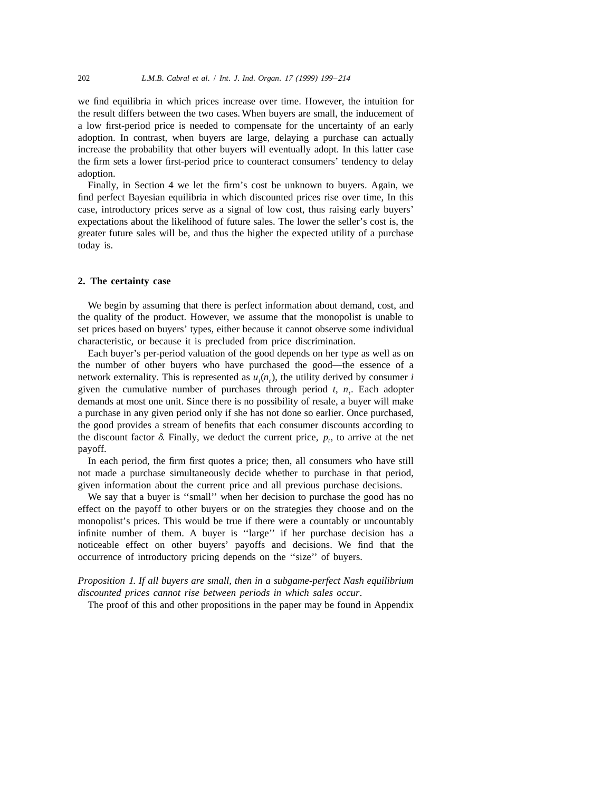we find equilibria in which prices increase over time. However, the intuition for the result differs between the two cases. When buyers are small, the inducement of a low first-period price is needed to compensate for the uncertainty of an early adoption. In contrast, when buyers are large, delaying a purchase can actually increase the probability that other buyers will eventually adopt. In this latter case the firm sets a lower first-period price to counteract consumers' tendency to delay adoption.

Finally, in Section 4 we let the firm's cost be unknown to buyers. Again, we find perfect Bayesian equilibria in which discounted prices rise over time, In this case, introductory prices serve as a signal of low cost, thus raising early buyers' expectations about the likelihood of future sales. The lower the seller's cost is, the greater future sales will be, and thus the higher the expected utility of a purchase today is.

## **2. The certainty case**

We begin by assuming that there is perfect information about demand, cost, and the quality of the product. However, we assume that the monopolist is unable to set prices based on buyers' types, either because it cannot observe some individual characteristic, or because it is precluded from price discrimination.

Each buyer's per-period valuation of the good depends on her type as well as on the number of other buyers who have purchased the good—the essence of a network externality. This is represented as  $u_i(n)$ , the utility derived by consumer *i* given the cumulative number of purchases through period  $t$ ,  $n$ . Each adopter demands at most one unit. Since there is no possibility of resale, a buyer will make a purchase in any given period only if she has not done so earlier. Once purchased, the good provides a stream of benefits that each consumer discounts according to the discount factor  $\delta$ . Finally, we deduct the current price,  $p_t$ , to arrive at the net payoff.

In each period, the firm first quotes a price; then, all consumers who have still not made a purchase simultaneously decide whether to purchase in that period, given information about the current price and all previous purchase decisions.

We say that a buyer is ''small'' when her decision to purchase the good has no effect on the payoff to other buyers or on the strategies they choose and on the monopolist's prices. This would be true if there were a countably or uncountably infinite number of them. A buyer is ''large'' if her purchase decision has a noticeable effect on other buyers' payoffs and decisions. We find that the occurrence of introductory pricing depends on the ''size'' of buyers.

*Proposition* <sup>1</sup>. *If all buyers are small*, *then in a subgame*-*perfect Nash equilibrium discounted prices cannot rise between periods in which sales occur*.

The proof of this and other propositions in the paper may be found in Appendix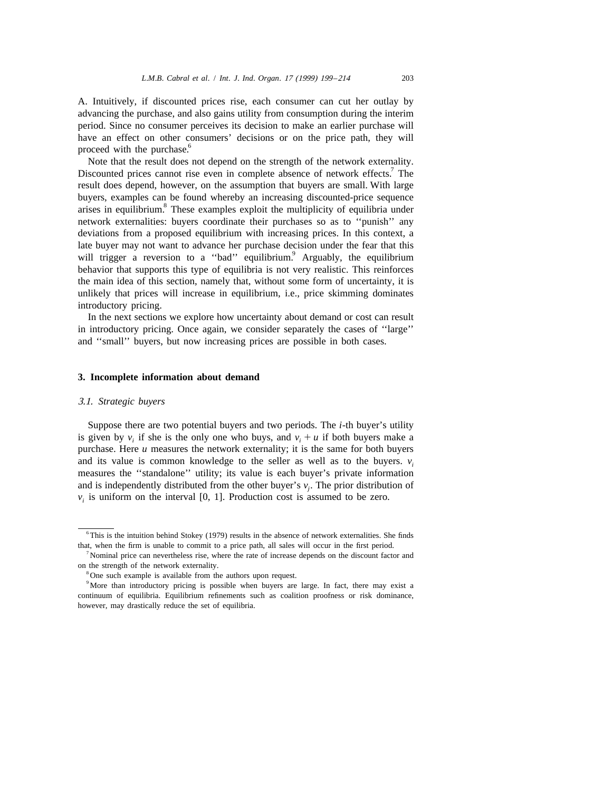A. Intuitively, if discounted prices rise, each consumer can cut her outlay by advancing the purchase, and also gains utility from consumption during the interim period. Since no consumer perceives its decision to make an earlier purchase will have an effect on other consumers' decisions or on the price path, they will proceed with the purchase.<sup>6</sup>

Note that the result does not depend on the strength of the network externality.<br>Discounted prices cannot rise even in complete absence of network effects.<sup>7</sup> The result does depend, however, on the assumption that buyers are small. With large buyers, examples can be found whereby an increasing discounted-price sequence arises in equilibrium.<sup>8</sup> These examples exploit the multiplicity of equilibria under network externalities: buyers coordinate their purchases so as to ''punish'' any deviations from a proposed equilibrium with increasing prices. In this context, a late buyer may not want to advance her purchase decision under the fear that this will trigger a reversion to a "bad" equilibrium. A reguably, the equilibrium behavior that supports this type of equilibria is not very realistic. This reinforces the main idea of this section, namely that, without some form of uncertainty, it is unlikely that prices will increase in equilibrium, i.e., price skimming dominates introductory pricing.

In the next sections we explore how uncertainty about demand or cost can result in introductory pricing. Once again, we consider separately the cases of ''large'' and ''small'' buyers, but now increasing prices are possible in both cases.

#### **3. Incomplete information about demand**

#### 3.1. *Strategic buyers*

Suppose there are two potential buyers and two periods. The *i*-th buyer's utility is given by  $v_i$ , if she is the only one who buys, and  $v_i + u$  if both buyers make a purchase. Here *u* measures the network externality; it is the same for both buyers and its value is common knowledge to the seller as well as to the buyers.  $v_i$ measures the ''standalone'' utility; its value is each buyer's private information and is independently distributed from the other buyer's  $v_i$ . The prior distribution of  $v_i$  is uniform on the interval  $[0, 1]$ . Production cost is assumed to be zero.

<sup>&</sup>lt;sup>6</sup>This is the intuition behind Stokey (1979) results in the absence of network externalities. She finds that, when the firm is unable to commit to a price path, all sales will occur in the first period.

 $<sup>7</sup>$  Nominal price can nevertheless rise, where the rate of increase depends on the discount factor and</sup> on the strength of the network externality.

<sup>&</sup>lt;sup>8</sup> One such example is available from the authors upon request.

<sup>&</sup>lt;sup>9</sup>More than introductory pricing is possible when buyers are large. In fact, there may exist a continuum of equilibria. Equilibrium refinements such as coalition proofness or risk dominance, however, may drastically reduce the set of equilibria.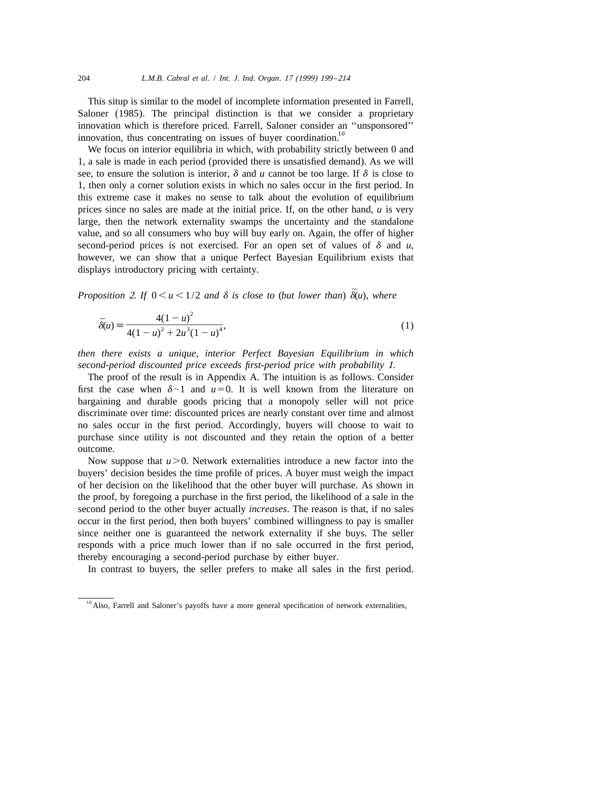This situp is similar to the model of incomplete information presented in Farrell, Saloner (1985). The principal distinction is that we consider a proprietary innovation which is therefore priced. Farrell, Saloner consider an "unsponsored" innovation, thus concentrating on issues of buyer coordination.<sup>10</sup>

We focus on interior equilibria in which, with probability strictly between 0 and 1, a sale is made in each period (provided there is unsatisfied demand). As we will see, to ensure the solution is interior,  $\delta$  and *u* cannot be too large. If  $\delta$  is close to 1, then only a corner solution exists in which no sales occur in the first period. In this extreme case it makes no sense to talk about the evolution of equilibrium prices since no sales are made at the initial price. If, on the other hand, *u* is very large, then the network externality swamps the uncertainty and the standalone value, and so all consumers who buy will buy early on. Again, the offer of higher second-period prices is not exercised. For an open set of values of  $\delta$  and *u*, however, we can show that a unique Perfect Bayesian Equilibrium exists that displays introductory pricing with certainty.

*Proposition* 2. If  $0 \le u \le 1/2$  and  $\delta$  *is close to (but lower than)*  $\overline{\delta}(u)$ , *where* 

$$
\bar{\delta}(u) = \frac{4(1-u)^2}{4(1-u)^2 + 2u^3(1-u)^4},\tag{1}
$$

*then there exists a unique*, *interior Perfect Bayesian Equilibrium in which second*-*period discounted price exceeds first*-*period price with probability* 1.

The proof of the result is in Appendix A. The intuition is as follows. Consider first the case when  $\delta$  1 and *u*=0. It is well known from the literature on bargaining and durable goods pricing that a monopoly seller will not price discriminate over time: discounted prices are nearly constant over time and almost no sales occur in the first period. Accordingly, buyers will choose to wait to purchase since utility is not discounted and they retain the option of a better outcome.

Now suppose that  $u > 0$ . Network externalities introduce a new factor into the buyers' decision besides the time profile of prices. A buyer must weigh the impact of her decision on the likelihood that the other buyer will purchase. As shown in the proof, by foregoing a purchase in the first period, the likelihood of a sale in the second period to the other buyer actually *increases*. The reason is that, if no sales occur in the first period, then both buyers' combined willingness to pay is smaller since neither one is guaranteed the network externality if she buys. The seller responds with a price much lower than if no sale occurred in the first period, thereby encouraging a second-period purchase by either buyer.

In contrast to buyers, the seller prefers to make all sales in the first period.

<sup>&</sup>lt;sup>10</sup>Also, Farrell and Saloner's payoffs have a more general specification of network externalities,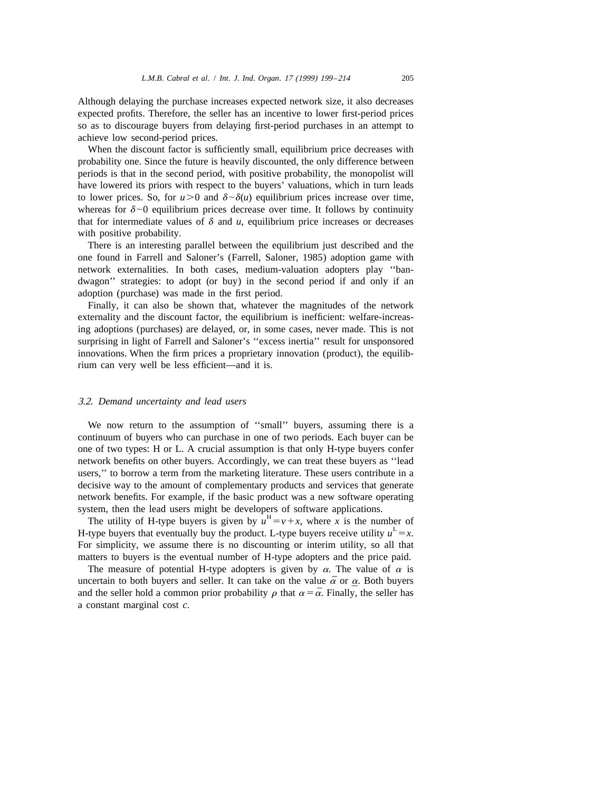Although delaying the purchase increases expected network size, it also decreases expected profits. Therefore, the seller has an incentive to lower first-period prices so as to discourage buyers from delaying first-period purchases in an attempt to achieve low second-period prices.

When the discount factor is sufficiently small, equilibrium price decreases with probability one. Since the future is heavily discounted, the only difference between periods is that in the second period, with positive probability, the monopolist will have lowered its priors with respect to the buyers' valuations, which in turn leads to lower prices. So, for  $u>0$  and  $\delta \sim \delta(u)$  equilibrium prices increase over time, whereas for  $\delta$  ~0 equilibrium prices decrease over time. It follows by continuity that for intermediate values of  $\delta$  and *u*, equilibrium price increases or decreases with positive probability.

There is an interesting parallel between the equilibrium just described and the one found in Farrell and Saloner's (Farrell, Saloner, 1985) adoption game with network externalities. In both cases, medium-valuation adopters play ''bandwagon'' strategies: to adopt (or buy) in the second period if and only if an adoption (purchase) was made in the first period.

Finally, it can also be shown that, whatever the magnitudes of the network externality and the discount factor, the equilibrium is inefficient: welfare-increasing adoptions (purchases) are delayed, or, in some cases, never made. This is not surprising in light of Farrell and Saloner's ''excess inertia'' result for unsponsored innovations. When the firm prices a proprietary innovation (product), the equilibrium can very well be less efficient—and it is.

#### 3.2. *Demand uncertainty and lead users*

We now return to the assumption of ''small'' buyers, assuming there is a continuum of buyers who can purchase in one of two periods. Each buyer can be one of two types: H or L. A crucial assumption is that only H-type buyers confer network benefits on other buyers. Accordingly, we can treat these buyers as ''lead users,'' to borrow a term from the marketing literature. These users contribute in a decisive way to the amount of complementary products and services that generate network benefits. For example, if the basic product was a new software operating

system, then the lead users might be developers of software applications.<br>The utility of H-type buyers is given by  $u^H = v + x$ , where x is the number of H-type buyers that eventually buy the product. L-type buyers receive u For simplicity, we assume there is no discounting or interim utility, so all that matters to buyers is the eventual number of H-type adopters and the price paid.

The measure of potential H-type adopters is given by  $\alpha$ . The value of  $\alpha$  is uncertain to both buyers and seller. It can take on the value  $\bar{\alpha}$  or  $\underline{\alpha}$ . Both buyers and the seller hold a common prior probability  $\rho$  that  $\alpha = \bar{\alpha}$ . Finally, the seller has a constant marginal cost *c*.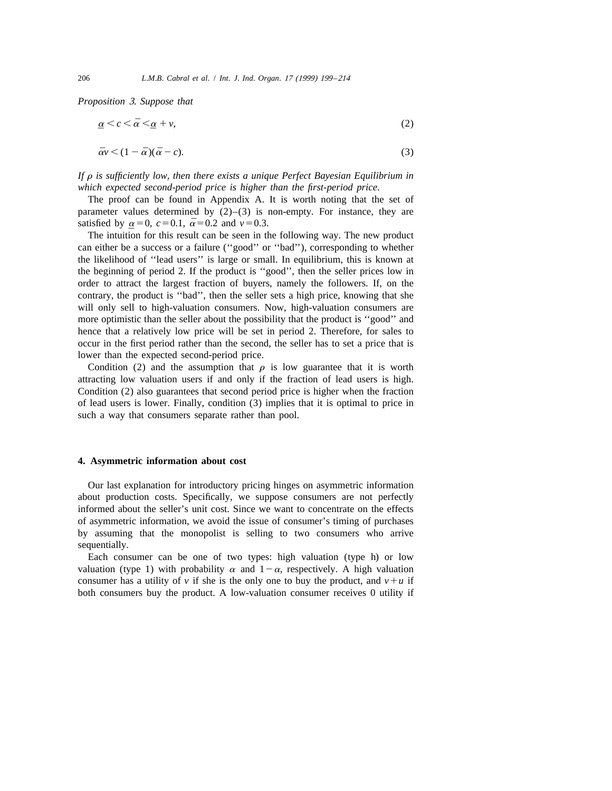*Proposition* <sup>3</sup>. *Suppose that*

$$
\underline{\alpha} < c < \bar{\alpha} < \underline{\alpha} + v,\tag{2}
$$

$$
\bar{\alpha}v < (1 - \bar{\alpha})(\bar{\alpha} - c). \tag{3}
$$

*If*  $\rho$  *is sufficiently low, then there exists a unique Perfect Bayesian Equilibrium in which expected second*-*period price is higher than the first*-*period price*.

The proof can be found in Appendix A. It is worth noting that the set of parameter values determined by  $(2)$ – $(3)$  is non-empty. For instance, they are satisfied by  $\alpha$ =0,  $c$ =0.1,  $\bar{\alpha}$ =0.2 and  $v$ =0.3.<br>The intuition for this result can be seen in the following way. The new product

can either be a success or a failure (''good'' or ''bad''), corresponding to whether the likelihood of ''lead users'' is large or small. In equilibrium, this is known at the beginning of period 2. If the product is ''good'', then the seller prices low in order to attract the largest fraction of buyers, namely the followers. If, on the contrary, the product is ''bad'', then the seller sets a high price, knowing that she will only sell to high-valuation consumers. Now, high-valuation consumers are more optimistic than the seller about the possibility that the product is ''good'' and hence that a relatively low price will be set in period 2. Therefore, for sales to occur in the first period rather than the second, the seller has to set a price that is lower than the expected second-period price.

Condition (2) and the assumption that  $\rho$  is low guarantee that it is worth attracting low valuation users if and only if the fraction of lead users is high. Condition (2) also guarantees that second period price is higher when the fraction of lead users is lower. Finally, condition (3) implies that it is optimal to price in such a way that consumers separate rather than pool.

# **4. Asymmetric information about cost**

Our last explanation for introductory pricing hinges on asymmetric information about production costs. Specifically, we suppose consumers are not perfectly informed about the seller's unit cost. Since we want to concentrate on the effects of asymmetric information, we avoid the issue of consumer's timing of purchases by assuming that the monopolist is selling to two consumers who arrive sequentially.

Each consumer can be one of two types: high valuation (type h) or low valuation (type 1) with probability  $\alpha$  and  $1-\alpha$ , respectively. A high valuation consumer has a utility of *v* if she is the only one to buy the product, and  $v + u$  if both consumers buy the product. A low-valuation consumer receives 0 utility if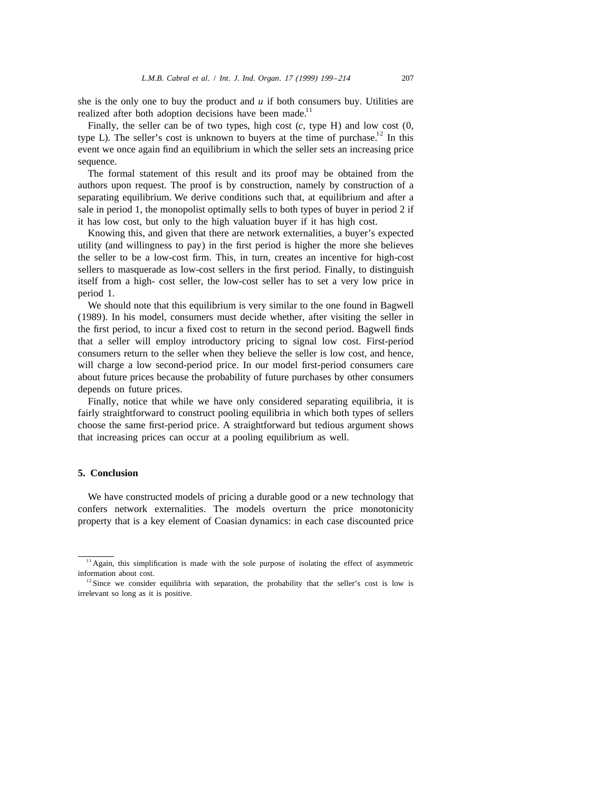she is the only one to buy the product and  $u$  if both consumers buy. Utilities are realized after both adoption decisions have been made.<sup>11</sup>

Finally, the seller can be of two types, high cost  $(c,$  type H) and low cost  $(0,$  type L). The seller's cost is unknown to buyers at the time of purchase.<sup>12</sup> In this event we once again find an equilibrium in which the seller sets an increasing price sequence.

The formal statement of this result and its proof may be obtained from the authors upon request. The proof is by construction, namely by construction of a separating equilibrium. We derive conditions such that, at equilibrium and after a sale in period 1, the monopolist optimally sells to both types of buyer in period 2 if it has low cost, but only to the high valuation buyer if it has high cost.

Knowing this, and given that there are network externalities, a buyer's expected utility (and willingness to pay) in the first period is higher the more she believes the seller to be a low-cost firm. This, in turn, creates an incentive for high-cost sellers to masquerade as low-cost sellers in the first period. Finally, to distinguish itself from a high- cost seller, the low-cost seller has to set a very low price in period 1.

We should note that this equilibrium is very similar to the one found in Bagwell (1989). In his model, consumers must decide whether, after visiting the seller in the first period, to incur a fixed cost to return in the second period. Bagwell finds that a seller will employ introductory pricing to signal low cost. First-period consumers return to the seller when they believe the seller is low cost, and hence, will charge a low second-period price. In our model first-period consumers care about future prices because the probability of future purchases by other consumers depends on future prices.

Finally, notice that while we have only considered separating equilibria, it is fairly straightforward to construct pooling equilibria in which both types of sellers choose the same first-period price. A straightforward but tedious argument shows that increasing prices can occur at a pooling equilibrium as well.

# **5. Conclusion**

We have constructed models of pricing a durable good or a new technology that confers network externalities. The models overturn the price monotonicity property that is a key element of Coasian dynamics: in each case discounted price

 $11$ Again, this simplification is made with the sole purpose of isolating the effect of asymmetric information about cost.

 $12$ Since we consider equilibria with separation, the probability that the seller's cost is low is irrelevant so long as it is positive.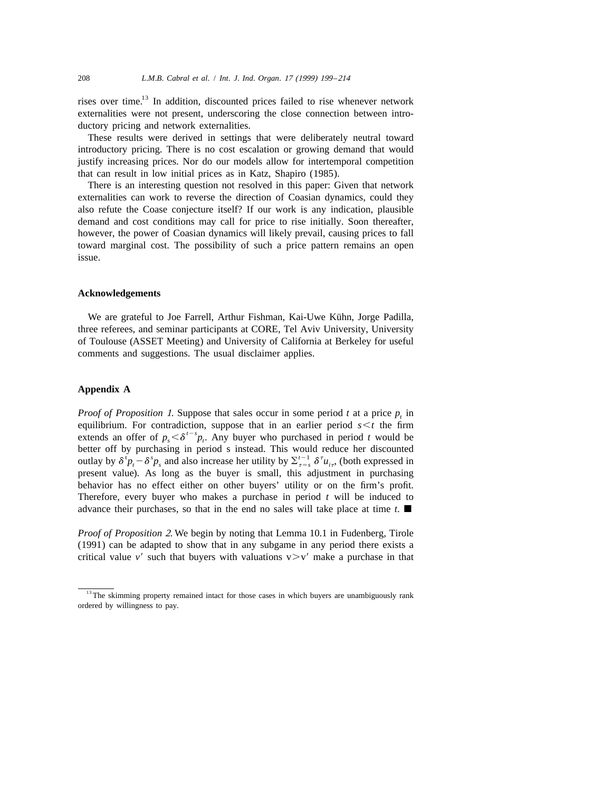rises over time.<sup>13</sup> In addition, discounted prices failed to rise whenever network externalities were not present, underscoring the close connection between introductory pricing and network externalities.

These results were derived in settings that were deliberately neutral toward introductory pricing. There is no cost escalation or growing demand that would justify increasing prices. Nor do our models allow for intertemporal competition that can result in low initial prices as in Katz, Shapiro (1985).

There is an interesting question not resolved in this paper: Given that network externalities can work to reverse the direction of Coasian dynamics, could they also refute the Coase conjecture itself? If our work is any indication, plausible demand and cost conditions may call for price to rise initially. Soon thereafter, however, the power of Coasian dynamics will likely prevail, causing prices to fall toward marginal cost. The possibility of such a price pattern remains an open issue.

#### **Acknowledgements**

We are grateful to Joe Farrell, Arthur Fishman, Kai-Uwe Kühn, Jorge Padilla, three referees, and seminar participants at CORE, Tel Aviv University, University of Toulouse (ASSET Meeting) and University of California at Berkeley for useful comments and suggestions. The usual disclaimer applies.

## **Appendix A**

*Proof of Proposition 1.* Suppose that sales occur in some period *t* at a price  $p_t$  in equilibrium. For contradiction, suppose that in an earlier period  $s < t$  the firm extends an offer of  $p_s < \delta^{t-s} p_t$ . Any buyer who purchased in period *t* would be better off by purchasing in period *s* instead. This would reduce her discounted outlay by  $\delta^i p_i - \delta^s p_s$  and also increase her utility by  $\Sigma_{\tau=s}^{t-1} \delta^{\tau} u_i$ , (both expressed in present value). As long as the buyer is small, this adjustment in purchasing behavior has no effect either on other buyers' utility or on the firm's profit. Therefore, every buyer who makes a purchase in period *t* will be induced to advance their purchases, so that in the end no sales will take place at time  $t$ .

*Proof of Proposition* <sup>2</sup>. We begin by noting that Lemma 10.1 in Fudenberg, Tirole (1991) can be adapted to show that in any subgame in any period there exists a critical value  $v'$  such that buyers with valuations  $v$ <sup> $\vee$ </sup> make a purchase in that

<sup>&</sup>lt;sup>13</sup>The skimming property remained intact for those cases in which buyers are unambiguously rank ordered by willingness to pay.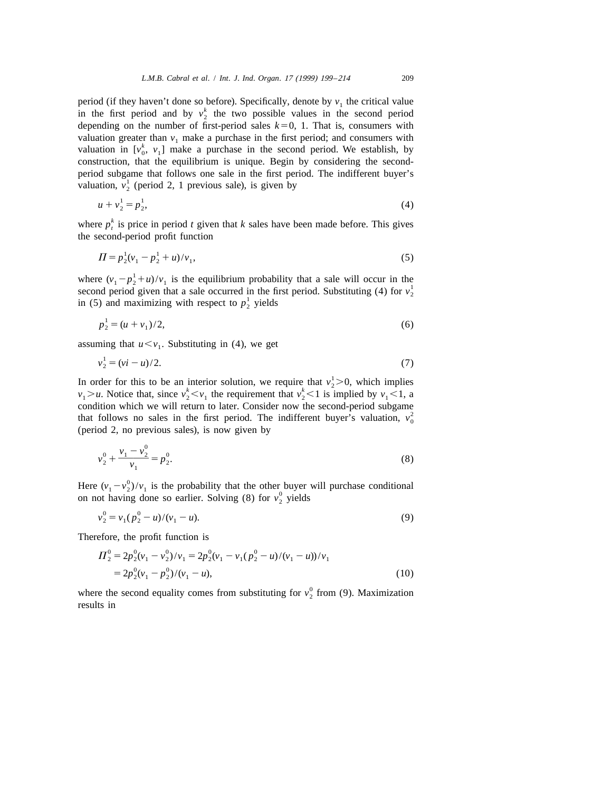period (if they haven't done so before). Specifically, denote by  $v_1$  the critical value in the first period and by  $v_2^k$  the two possible values in the second period depending on the number of first-period sales  $k=0$ , 1. That is, consumers with valuation greater than  $v_1$  make a purchase in the first period; and consumers with valuation in  $[v_0^k, v_1]$  make a purchase in the second period. We establish, by construction, that the equilibrium is unique. Begin by considering the secondperiod subgame that follows one sale in the first period. The indifferent buyer's valuation,  $v_2^1$  (period 2, 1 previous sale), is given by

$$
u + v_2^1 = p_2^1,\tag{4}
$$

where  $p_t^k$  is price in period *t* given that *k* sales have been made before. This gives the second-period profit function

$$
\Pi = p_2^1(\nu_1 - p_2^1 + u)/\nu_1,\tag{5}
$$

where  $(v_1 - p_2^1 + u)/v_1$  is the equilibrium probability that a sale will occur in the second period given that a sale occurred in the first period. Substituting (4) for  $v_2^1$  in (5) and maximizing with respect to  $p_2^1$ 

$$
p_2^1 = (u + v_1)/2,\tag{6}
$$

assuming that  $u < v_1$ . Substituting in (4), we get

$$
v_2^1 = (vi - u)/2.
$$
 (7)

In order for this to be an interior solution, we require that  $v_2^1 > 0$ , which implies  $v_1 > u$ . Notice that, since  $v_2^k < v_1$  the requirement that  $v_2^k < 1$  is implied by  $v_1 < 1$ , a condition which we will return to l that follows no sales in the first period. The indifferent buyer's valuation,  $v_0^2$ (period 2, no previous sales), is now given by

$$
v_2^0 + \frac{v_1 - v_2^0}{v_1} = p_2^0.
$$
 (8)

Here  $(v_1 - v_2^0)/v_1$  is the probability that the other buyer will purchase conditional on not having done so earlier. Solving (8) for  $v_2^0$  yields

$$
v_2^0 = v_1 (p_2^0 - u) / (v_1 - u). \tag{9}
$$

Therefore, the profit function is

$$
\begin{aligned} \n\Pi_2^0 &= 2p_2^0(\nu_1 - \nu_2^0)/\nu_1 = 2p_2^0(\nu_1 - \nu_1(p_2^0 - u)/(\nu_1 - u))/\nu_1 \\ \n&= 2p_2^0(\nu_1 - p_2^0)/(\nu_1 - u), \n\end{aligned} \tag{10}
$$

where the second equality comes from substituting for  $v_2^0$  from (9). Maximization results in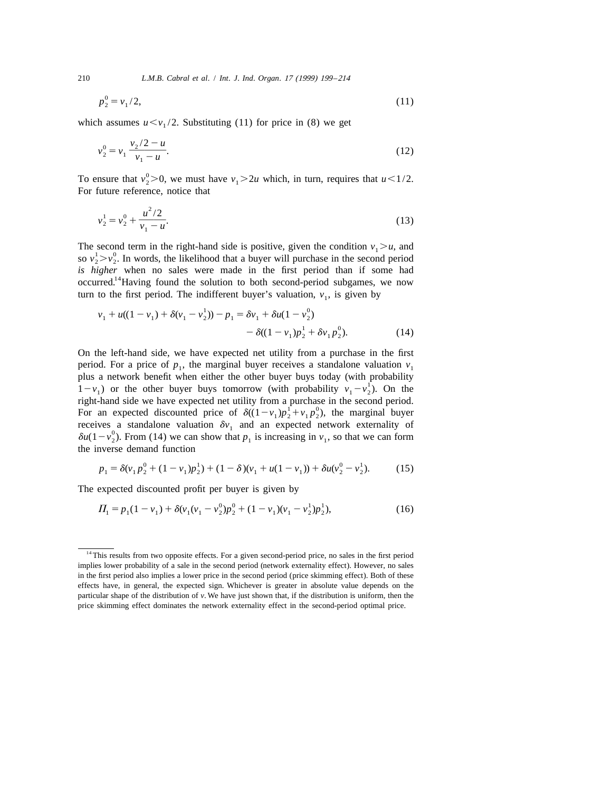210 *L*.*M*.*B*. *Cabral et al*. / *Int*. *J*. *Ind*. *Organ*. <sup>17</sup> (1999) <sup>199</sup> –<sup>214</sup>

$$
p_2^0 = v_1/2,\tag{11}
$$

which assumes  $u \lt v_1/2$ . Substituting (11) for price in (8) we get

$$
v_2^0 = v_1 \frac{v_2/2 - u}{v_1 - u}.\tag{12}
$$

To ensure that  $v_2^0 > 0$ , we must have  $v_1 > 2u$  which, in turn, requires that  $u < 1/2$ . For future reference, notice that

$$
v_2^1 = v_2^0 + \frac{u^2/2}{v_1 - u}.\tag{13}
$$

The second term in the right-hand side is positive, given the condition  $v_1 > u$ , and so  $v_2^1 > v_2^0$ . In words, the likelihood that a buyer will purchase in the second period *is higher* when no sales were made in the fi occurred.<sup>14</sup> Having found the solution to both second-period subgames, we now turn to the first period. The indifferent buyer's valuation,  $v_1$ , is given by

$$
v_1 + u((1 - v_1) + \delta(v_1 - v_2^1)) - p_1 = \delta v_1 + \delta u(1 - v_2^0)
$$
  
- 
$$
\delta((1 - v_1)p_2^1 + \delta v_1 p_2^0).
$$
 (14)

On the left-hand side, we have expected net utility from a purchase in the first period. For a price of  $p_1$ , the marginal buyer receives a standalone valuation  $v_1$  plus a network benefit when either the other buyer buys today (with probability  $1 - v_1$ ) or the other buyer buys tomorrow (with probability  $v_1 - v_2^1$ ). On the right-hand side we have expected net utility from a purchase in the second period. For an expected discounted price of  $\delta((1 - v_1)p_2^T + v_1p_2^0)$ , the marginal buyer receives a standalone valuation  $\delta v_1$  and an expected network externality of  $\delta u(1 - v_2^0)$ . From (14) we can show that  $p_1$  is increasing in  $v_1$ , so that we can form the inverse demand function

$$
p_1 = \delta(v_1 p_2^0 + (1 - v_1)p_2^1) + (1 - \delta)(v_1 + u(1 - v_1)) + \delta u(v_2^0 - v_2^1). \tag{15}
$$

The expected discounted profit per buyer is given by

$$
\Pi_1 = p_1(1 - v_1) + \delta(v_1(v_1 - v_2^0)p_2^0 + (1 - v_1)(v_1 - v_2^1)p_2^1),\tag{16}
$$

<sup>&</sup>lt;sup>14</sup>This results from two opposite effects. For a given second-period price, no sales in the first period implies lower probability of a sale in the second period (network externality effect). However, no sales in the first period also implies a lower price in the second period (price skimming effect). Both of these effects have, in general, the expected sign. Whichever is greater in absolute value depends on the particular shape of the distribution of *v*. We have just shown that, if the distribution is uniform, then the price skimming effect dominates the network externality effect in the second-period optimal price.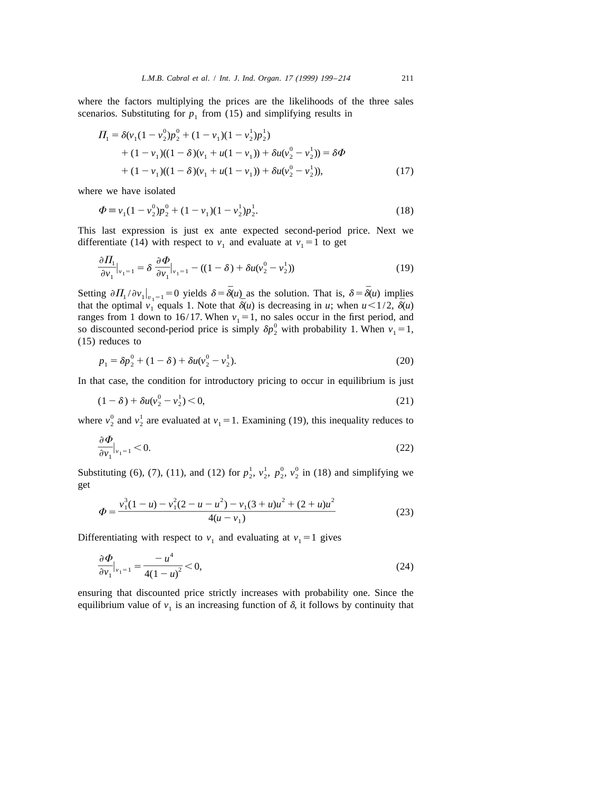where the factors multiplying the prices are the likelihoods of the three sales scenarios. Substituting for  $p_1$  from (15) and simplifying results in

$$
\begin{split} \Pi_1 &= \delta(v_1(1 - v_2^0)p_2^0 + (1 - v_1)(1 - v_2^1)p_2^1) \\ &+ (1 - v_1)((1 - \delta)(v_1 + u(1 - v_1)) + \delta u(v_2^0 - v_2^1)) = \delta \Phi \\ &+ (1 - v_1)((1 - \delta)(v_1 + u(1 - v_1)) + \delta u(v_2^0 - v_2^1)), \end{split} \tag{17}
$$

where we have isolated

$$
\Phi \equiv v_1(1 - v_2^0)p_2^0 + (1 - v_1)(1 - v_2^1)p_2^1. \tag{18}
$$

This last expression is just ex ante expected second-period price. Next we differentiate (14) with respect to  $v_1$  and evaluate at  $v_1 = 1$  to get

$$
\frac{\partial H_1}{\partial v_1}\big|_{v_1=1} = \delta \frac{\partial \Phi}{\partial v_1}\big|_{v_1=1} - ((1-\delta) + \delta u(v_2^0 - v_2^1))
$$
(19)

Setting  $\partial \Pi_1 / \partial v_1 |_{v_1 = 1} = 0$  yields  $\delta = \overline{\delta}(u)$  as the solution. That is,  $\delta = \overline{\delta}(u)$  implies that the optimal  $v_1$  equals 1. Note that  $\bar{\delta}(u)$  is decreasing in *u*; when  $u < 1/2$ ,  $\bar{\delta}(u)$  ranges from 1 down to 16/17. When  $v_1 = 1$ , no sales occur in the first period, and so discounted second-period price is simply  $\delta p_2^0$  with probability 1. When  $v_1 = 1$ , (15) reduces to

$$
p_1 = \delta p_2^0 + (1 - \delta) + \delta u (v_2^0 - v_2^1). \tag{20}
$$

In that case, the condition for introductory pricing to occur in equilibrium is just

$$
(1 - \delta) + \delta u (v_2^0 - v_2^1) < 0,
$$
\n(21)

where  $v_2^0$  and  $v_2^1$  are evaluated at  $v_1 = 1$ . Examining (19), this inequality reduces to

$$
\frac{\partial \Phi}{\partial v_1}\Big|_{v_1=1} < 0. \tag{22}
$$

Substituting (6), (7), (11), and (12) for  $p_2^1$ ,  $v_2^1$ ,  $p_2^0$ ,  $v_2^0$  in (18) and simplifying we get

$$
\Phi = \frac{v_1^3(1-u) - v_1^2(2-u-u^2) - v_1(3+u)u^2 + (2+u)u^2}{4(u-v_1)}
$$
\n(23)

Differentiating with respect to  $v_1$  and evaluating at  $v_1 = 1$  gives

$$
\frac{\partial \Phi}{\partial v_1}\Big|_{v_1=1} = \frac{-u^4}{4(1-u)^2} < 0,\tag{24}
$$

ensuring that discounted price strictly increases with probability one. Since the equilibrium value of  $v_1$  is an increasing function of  $\delta$ , it follows by continuity that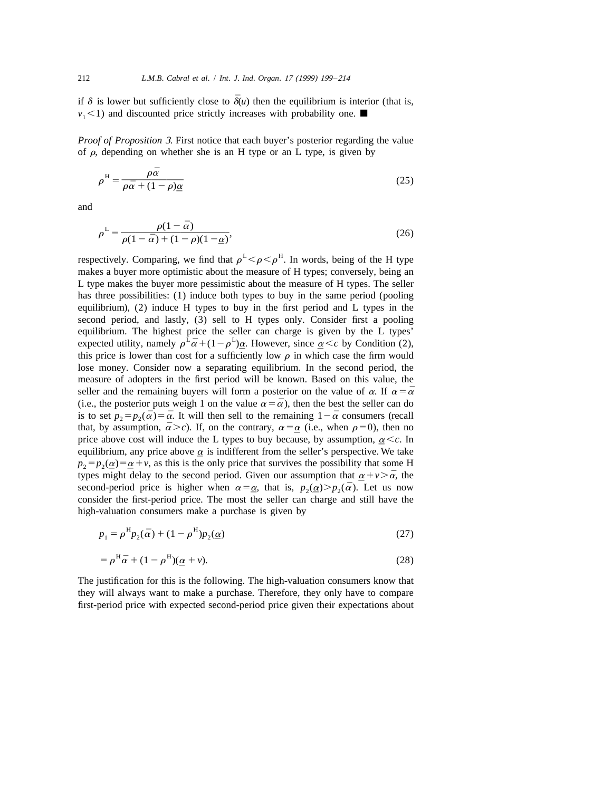if  $\delta$  is lower but sufficiently close to  $\overline{\delta}(u)$  then the equilibrium is interior (that is,  $v_1$  < 1) and discounted price strictly increases with probability one.

*Proof of Proposition* <sup>3</sup>. First notice that each buyer's posterior regarding the value of  $\rho$ , depending on whether she is an H type or an L type, is given by

$$
\rho^{\mathrm{H}} = \frac{\rho \bar{\alpha}}{\rho \bar{\alpha} + (1 - \rho)\underline{\alpha}} \tag{25}
$$

and

$$
\rho^{\mathcal{L}} = \frac{\rho(1-\bar{\alpha})}{\rho(1-\bar{\alpha}) + (1-\rho)(1-\underline{\alpha})},\tag{26}
$$

respectively. Comparing, we find that  $\rho^L < \rho < \rho^H$ . In words, being of the H type makes a buyer more optimistic about the measure of H types; conversely, being an L type makes the buyer more pessimistic about the measure of H types. The seller has three possibilities: (1) induce both types to buy in the same period (pooling equilibrium), (2) induce H types to buy in the first period and L types in the second period, and lastly, (3) sell to H types only. Consider first a pooling equilibrium. The highest price the seller can charge is given by the L types'<br>expected utility, namely  $\rho^L \bar{\alpha} + (1 - \rho^L) \underline{\alpha}$ . However, since  $\underline{\alpha} < c$  by Condition (2),<br>this price is lower than cost for a sufficientl lose money. Consider now a separating equilibrium. In the second period, the measure of adopters in the first period will be known. Based on this value, the seller and the remaining buyers will form a posterior on the value of  $\alpha$ . If  $\alpha = \overline{\alpha}$ (i.e., the posterior puts weigh 1 on the value  $\alpha = \bar{\alpha}$ ), then the best the seller can do is to set  $p_2 = p_2(\bar{\alpha}) = \bar{\alpha}$ . It will then sell to the remaining  $1-\bar{\alpha}$  consumers (recall that, by assumption,  $\bar{\alpha} > c$ ). If, on the contrary,  $\alpha = \alpha$  (i.e., when  $\rho = 0$ ), then no price above cost will induce the L types to buy because, by assumption,  $\alpha \leq c$ . In equilibrium, any price above  $\alpha$  is indifferent from the seller's perspective. We take  $p_2 = p_2(\alpha) = \alpha + v$ , as this is the only price tha high-valuation consumers make a purchase is given by

$$
p_1 = \rho^{\rm H} p_2(\bar{\alpha}) + (1 - \rho^{\rm H}) p_2(\underline{\alpha}) \tag{27}
$$

$$
= \rho^{\mathrm{H}} \bar{\alpha} + (1 - \rho^{\mathrm{H}}) (\underline{\alpha} + v). \tag{28}
$$

The justification for this is the following. The high-valuation consumers know that they will always want to make a purchase. Therefore, they only have to compare first-period price with expected second-period price given their expectations about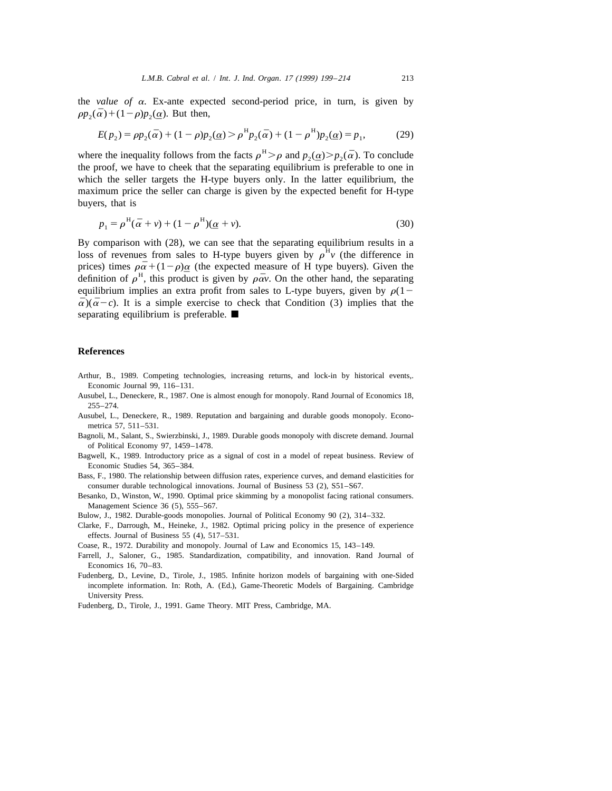the *value of*  $\alpha$ . Ex-ante expected second-period price, in turn, is given by  $\rho p_{2}(\bar{\alpha}) + (1-\rho)p_{2}(\alpha)$ . But then,

$$
E(p_2) = \rho p_2(\bar{\alpha}) + (1 - \rho)p_2(\underline{\alpha}) > \rho^{\mathrm{H}} p_2(\bar{\alpha}) + (1 - \rho^{\mathrm{H}})p_2(\underline{\alpha}) = p_1,\tag{29}
$$

where the inequality follows from the facts  $\rho^H > \rho$  and  $p_2(\alpha) > p_2(\bar{\alpha})$ . To conclude the proof, we have to cheek that the separating equilibrium is preferable to one in which the seller targets the H-type buyers only. In the latter equilibrium, the maximum price the seller can charge is given by the expected benefit for H-type buyers, that is

$$
p_1 = \rho^H(\bar{\alpha} + v) + (1 - \rho^H)(\underline{\alpha} + v).
$$
 (30)

By comparison with (28), we can see that the separating equilibrium results in a loss of revenues from sales to H-type buyers given by  $\rho^H v$  (the difference in prices) times  $\rho \bar{\alpha} + (1 - \rho) \alpha$  (the expected measure of H definition of  $\rho$ <sup>H</sup>, this product is given by  $\rho \bar{\alpha} v$ . On the other hand, the separating equilibrium implies an extra profit from sales to L-type buyers, given by  $\rho(1 \bar{\alpha}$ )( $\bar{\alpha}$ -c). It is a simple exercise to check that Condition (3) implies that the separating equilibrium is preferable.  $\blacksquare$ 

## **References**

- Arthur, B., 1989. Competing technologies, increasing returns, and lock-in by historical events,. Economic Journal 99, 116–131.
- Ausubel, L., Deneckere, R., 1987. One is almost enough for monopoly. Rand Journal of Economics 18, 255–274.
- Ausubel, L., Deneckere, R., 1989. Reputation and bargaining and durable goods monopoly. Econometrica 57, 511–531.
- Bagnoli, M., Salant, S., Swierzbinski, J., 1989. Durable goods monopoly with discrete demand. Journal of Political Economy 97, 1459–1478.
- Bagwell, K., 1989. Introductory price as a signal of cost in a model of repeat business. Review of Economic Studies 54, 365–384.
- Bass, F., 1980. The relationship between diffusion rates, experience curves, and demand elasticities for consumer durable technological innovations. Journal of Business 53 (2), S51–S67.
- Besanko, D., Winston, W., 1990. Optimal price skimming by a monopolist facing rational consumers. Management Science 36 (5), 555–567.
- Bulow, J., 1982. Durable-goods monopolies. Journal of Political Economy 90 (2), 314–332.
- Clarke, F., Darrough, M., Heineke, J., 1982. Optimal pricing policy in the presence of experience effects. Journal of Business 55 (4), 517–531.
- Coase, R., 1972. Durability and monopoly. Journal of Law and Economics 15, 143–149.
- Farrell, J., Saloner, G., 1985. Standardization, compatibility, and innovation. Rand Journal of Economics 16, 70–83.
- Fudenberg, D., Levine, D., Tirole, J., 1985. Infinite horizon models of bargaining with one-Sided incomplete information. In: Roth, A. (Ed.), Game-Theoretic Models of Bargaining. Cambridge University Press.
- Fudenberg, D., Tirole, J., 1991. Game Theory. MIT Press, Cambridge, MA.